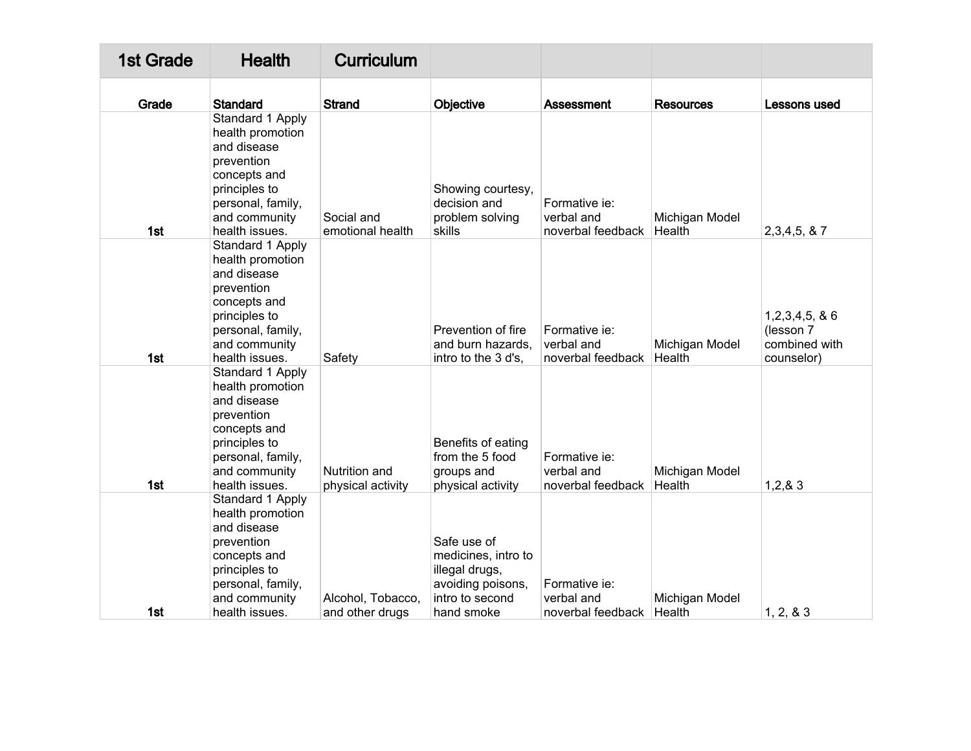| 1st Grade | <b>Health</b>                                                                                                                                              | <b>Curriculum</b>                    |                                                                                                            |                                                  |                          |                                                          |
|-----------|------------------------------------------------------------------------------------------------------------------------------------------------------------|--------------------------------------|------------------------------------------------------------------------------------------------------------|--------------------------------------------------|--------------------------|----------------------------------------------------------|
| Grade     | <b>Standard</b>                                                                                                                                            | <b>Strand</b>                        | Objective                                                                                                  | Assessment                                       | <b>Resources</b>         | Lessons used                                             |
| 1st       | Standard 1 Apply<br>health promotion<br>and disease<br>prevention<br>concepts and<br>principles to<br>personal, family,<br>and community<br>health issues. | Social and<br>emotional health       | Showing courtesy,<br>decision and<br>problem solving<br>skills                                             | Formative ie:<br>verbal and<br>noverbal feedback | Michigan Model<br>Health | $2,3,4,5,8$ 7                                            |
| 1st       | Standard 1 Apply<br>health promotion<br>and disease<br>prevention<br>concepts and<br>principles to<br>personal, family,<br>and community<br>health issues. | Safety                               | Prevention of fire<br>and burn hazards.<br>intro to the 3 d's,                                             | Formative ie:<br>verbal and<br>noverbal feedback | Michigan Model<br>Health | 1,2,3,4,5,86<br>(lesson 7<br>combined with<br>counselor) |
| 1st       | Standard 1 Apply<br>health promotion<br>and disease<br>prevention<br>concepts and<br>principles to<br>personal, family,<br>and community<br>health issues. | Nutrition and<br>physical activity   | Benefits of eating<br>from the 5 food<br>groups and<br>physical activity                                   | Formative ie:<br>verbal and<br>noverbal feedback | Michigan Model<br>Health | 1,2,8,3                                                  |
| 1st       | Standard 1 Apply<br>health promotion<br>and disease<br>prevention<br>concepts and<br>principles to<br>personal, family,<br>and community<br>health issues. | Alcohol, Tobacco,<br>and other drugs | Safe use of<br>medicines, intro to<br>illegal drugs,<br>avoiding poisons,<br>intro to second<br>hand smoke | Formative ie:<br>verbal and<br>noverbal feedback | Michigan Model<br>Health | 1, 2, 8, 3                                               |